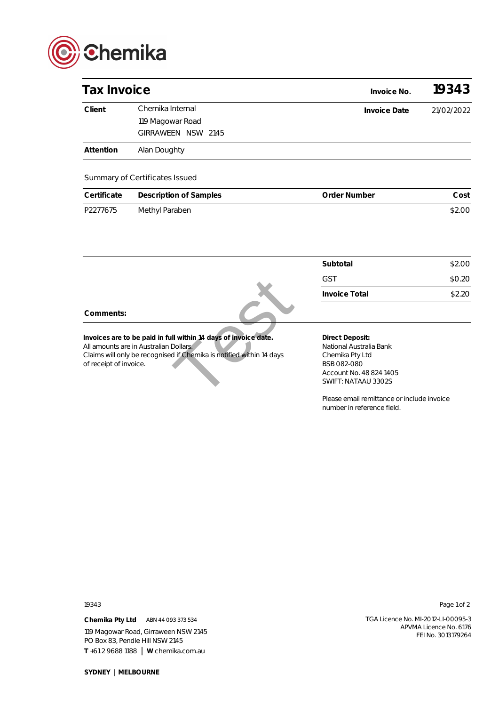

| <b>Tax Invoice</b>                                                                                                                                                                                          |                                                            | Invoice No.                                                                                                                           | 19343      |
|-------------------------------------------------------------------------------------------------------------------------------------------------------------------------------------------------------------|------------------------------------------------------------|---------------------------------------------------------------------------------------------------------------------------------------|------------|
| Client                                                                                                                                                                                                      | Chemika Internal<br>119 Magowar Road<br>GIRRAWEEN NSW 2145 | <b>Invoice Date</b>                                                                                                                   | 21/02/2022 |
| Attention                                                                                                                                                                                                   | Alan Doughty                                               |                                                                                                                                       |            |
|                                                                                                                                                                                                             | Summary of Certificates Issued                             |                                                                                                                                       |            |
| Certificate                                                                                                                                                                                                 | Description of Samples                                     | Order Number                                                                                                                          | Cost       |
| P2277675                                                                                                                                                                                                    | Methyl Paraben                                             |                                                                                                                                       | \$2.00     |
|                                                                                                                                                                                                             |                                                            |                                                                                                                                       |            |
|                                                                                                                                                                                                             |                                                            | Subtotal                                                                                                                              | \$2.00     |
|                                                                                                                                                                                                             |                                                            | <b>GST</b>                                                                                                                            | \$0.20     |
|                                                                                                                                                                                                             |                                                            | <b>Invoice Total</b>                                                                                                                  | \$2.20     |
| Comments:                                                                                                                                                                                                   |                                                            |                                                                                                                                       |            |
| Invoices are to be paid in full within 14 days of invoice date.<br>All amounts are in Australian Dollars.<br>Claims will only be recognised if Chemika is notified within 14 days<br>of receipt of invoice. |                                                            | <b>Direct Deposit:</b><br>National Australia Bank<br>Chemika Pty Ltd<br>BSB 082-080<br>Account No. 48 824 1405<br>SWIFT: NATAAU 3302S |            |
|                                                                                                                                                                                                             |                                                            | Dissas succellus pelttemas en la dural pulsates                                                                                       |            |

Please email remittance or include invoice number in reference field.

**Chemika Pty Ltd** ABN 44 093 373 534 119 Magowar Road, Girraween NSW 2145 PO Box 83, Pendle Hill NSW 2145

**T** +61 2 9688 1188 | **W** chemika.com.au

19343 Page 1 of 2

TGA Licence No. MI-2012-LI-00095-3 APVMA Licence No. 6176 FEI No. 3013179264